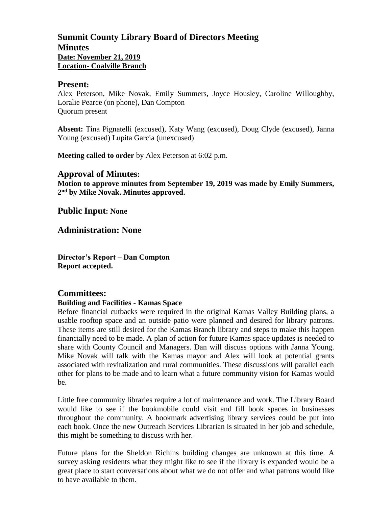# **Summit County Library Board of Directors Meeting Minutes Date: November 21, 2019 Location- Coalville Branch**

## **Present:**

Alex Peterson, Mike Novak, Emily Summers, Joyce Housley, Caroline Willoughby, Loralie Pearce (on phone), Dan Compton Quorum present

**Absent:** Tina Pignatelli (excused), Katy Wang (excused), Doug Clyde (excused), Janna Young (excused) Lupita Garcia (unexcused)

**Meeting called to order** by Alex Peterson at 6:02 p.m.

## **Approval of Minutes:**

**Motion to approve minutes from September 19, 2019 was made by Emily Summers, 2 nd by Mike Novak. Minutes approved.** 

**Public Input: None**

**Administration: None**

**Director's Report – Dan Compton Report accepted.** 

## **Committees:**

## **Building and Facilities - Kamas Space**

Before financial cutbacks were required in the original Kamas Valley Building plans, a usable rooftop space and an outside patio were planned and desired for library patrons. These items are still desired for the Kamas Branch library and steps to make this happen financially need to be made. A plan of action for future Kamas space updates is needed to share with County Council and Managers. Dan will discuss options with Janna Young. Mike Novak will talk with the Kamas mayor and Alex will look at potential grants associated with revitalization and rural communities. These discussions will parallel each other for plans to be made and to learn what a future community vision for Kamas would be.

Little free community libraries require a lot of maintenance and work. The Library Board would like to see if the bookmobile could visit and fill book spaces in businesses throughout the community. A bookmark advertising library services could be put into each book. Once the new Outreach Services Librarian is situated in her job and schedule, this might be something to discuss with her.

Future plans for the Sheldon Richins building changes are unknown at this time. A survey asking residents what they might like to see if the library is expanded would be a great place to start conversations about what we do not offer and what patrons would like to have available to them.